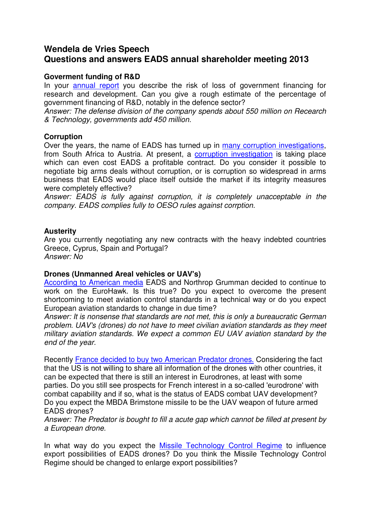# **Wendela de Vries Speech Questions and answers EADS annual shareholder meeting 2013**

### **Goverment funding of R&D**

In your annual report you describe the risk of loss of government financing for research and development. Can you give a rough estimate of the percentage of government financing of R&D, notably in the defence sector?

Answer: The defense division of the company spends about 550 million on Recearch & Technology, governments add 450 million.

# **Corruption**

Over the years, the name of EADS has turned up in many corruption investigations, from South Africa to Austria. At present, a corruption investigation is taking place which can even cost EADS a profitable contract. Do you consider it possible to negotiate big arms deals without corruption, or is corruption so widespread in arms business that EADS would place itself outside the market if its integrity measures were completely effective?

Answer: EADS is fully against corruption, it is completely unacceptable in the company. EADS complies fully to OESO rules against corrption.

### **Austerity**

Are you currently negotiating any new contracts with the heavy indebted countries Greece, Cyprus, Spain and Portugal? Answer: No

### **Drones (Unmanned Areal vehicles or UAV's)**

According to American media EADS and Northrop Grumman decided to continue to work on the EuroHawk. Is this true? Do you expect to overcome the present shortcoming to meet aviation control standards in a technical way or do you expect European aviation standards to change in due time?

Answer: It is nonsense that standards are not met, this is only a bureaucratic German problem. UAV's (drones) do not have to meet civilian aviation standards as they meet military aviation standards. We expect a common EU UAV aviation standard by the end of the year.

Recently France decided to buy two American Predator drones. Considering the fact that the US is not willing to share all information of the drones with other countries, it can be expected that there is still an interest in Eurodrones, at least with some parties. Do you still see prospects for French interest in a so-called 'eurodrone' with combat capability and if so, what is the status of EADS combat UAV development? Do you expect the MBDA Brimstone missile to be the UAV weapon of future armed EADS drones?

Answer: The Predator is bought to fill a acute gap which cannot be filled at present by a European drone.

In what way do you expect the Missile Technology Control Regime to influence export possibilities of EADS drones? Do you think the Missile Technology Control Regime should be changed to enlarge export possibilities?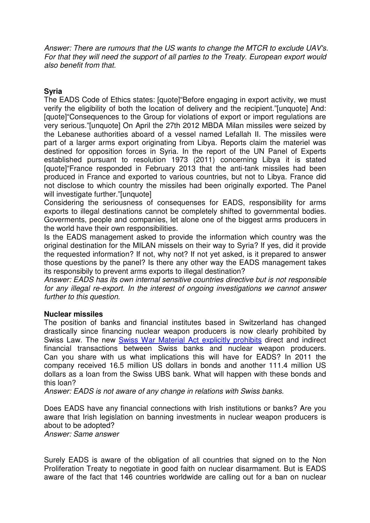Answer: There are rumours that the US wants to change the MTCR to exclude UAV's. For that they will need the support of all parties to the Treaty. European export would also benefit from that.

## **Syria**

The EADS Code of Ethics states: [quote]"Before engaging in export activity, we must verify the eligibility of both the location of delivery and the recipient."[unquote] And: [quote]"Consequences to the Group for violations of export or import regulations are very serious."[unquote] On April the 27th 2012 MBDA Milan missiles were seized by the Lebanese authorities aboard of a vessel named Lefallah II. The missiles were part of a larger arms export originating from Libya. Reports claim the materiel was destined for opposition forces in Syria. In the report of the UN Panel of Experts established pursuant to resolution 1973 (2011) concerning Libya it is stated [quote]"France responded in February 2013 that the anti-tank missiles had been produced in France and exported to various countries, but not to Libya. France did not disclose to which country the missiles had been originally exported. The Panel will investigate further."[unquote]

Considering the seriousness of consequenses for EADS, responsibility for arms exports to illegal destinations cannot be completely shifted to governmental bodies. Goverments, people and companies, let alone one of the biggest arms producers in the world have their own responsibilities.

Is the EADS management asked to provide the information which country was the original destination for the MILAN missels on their way to Syria? If yes, did it provide the requested information? If not, why not? If not yet asked, is it prepared to answer those questions by the panel? Is there any other way the EADS management takes its responsibily to prevent arms exports to illegal destination?

Answer: EADS has its own internal sensitive countries directive but is not responsible for any illegal re-export. In the interest of ongoing investigations we cannot answer further to this question.

### **Nuclear missiles**

The position of banks and financial institutes based in Switzerland has changed drastically since financing nuclear weapon producers is now clearly prohibited by Swiss Law. The new Swiss War Material Act explicitly prohibits direct and indirect financial transactions between Swiss banks and nuclear weapon producers. Can you share with us what implications this will have for EADS? In 2011 the company received 16.5 million US dollars in bonds and another 111.4 million US dollars as a loan from the Swiss UBS bank. What will happen with these bonds and this loan?

Answer: EADS is not aware of any change in relations with Swiss banks.

Does EADS have any financial connections with Irish institutions or banks? Are you aware that Irish legislation on banning investments in nuclear weapon producers is about to be adopted?

Answer: Same answer

Surely EADS is aware of the obligation of all countries that signed on to the Non Proliferation Treaty to negotiate in good faith on nuclear disarmament. But is EADS aware of the fact that 146 countries worldwide are calling out for a ban on nuclear